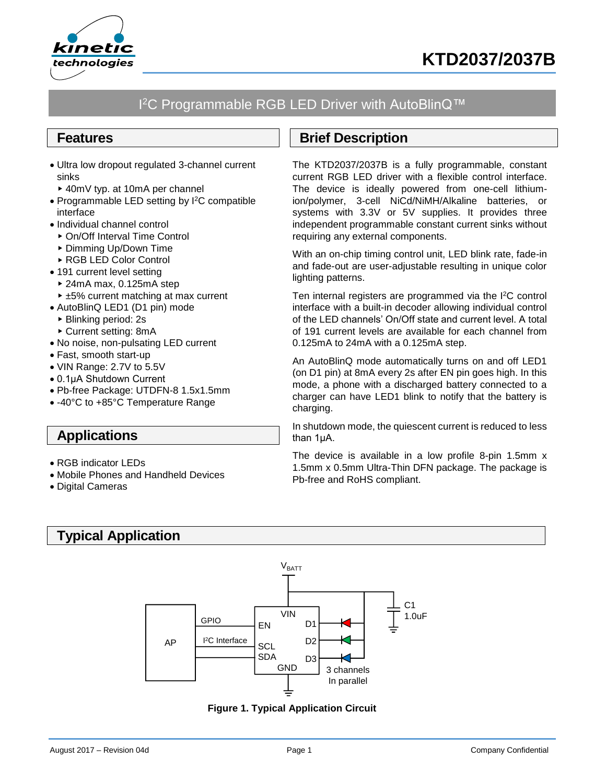



# I<sup>2</sup>C Programmable RGB LED Driver with AutoBlinQ™

## **Features**

- Ultra low dropout regulated 3-channel current sinks
- 40mV typ. at 10mA per channel
- Programmable LED setting by I<sup>2</sup>C compatible interface
- Individual channel control
- ▶ On/Off Interval Time Control
- ▶ Dimming Up/Down Time
- ▶ RGB LED Color Control
- 191 current level setting
- 24mA max, 0.125mA step ► ±5% current matching at max current
- AutoBlinQ LED1 (D1 pin) mode
- Blinking period: 2s
- Current setting: 8mA
- No noise, non-pulsating LED current
- Fast, smooth start-up
- VIN Range: 2.7V to 5.5V
- 0.1μA Shutdown Current
- Pb-free Package: UTDFN-8 1.5x1.5mm
- -40°C to +85°C Temperature Range

# **Applications**

- RGB indicator LEDs
- Mobile Phones and Handheld Devices
- Digital Cameras

# **Typical Application**



<span id="page-0-0"></span>**Figure 1. Typical Application Circuit**

# **Brief Description**

The KTD2037/2037B is a fully programmable, constant current RGB LED driver with a flexible control interface. The device is ideally powered from one-cell lithiumion/polymer, 3-cell NiCd/NiMH/Alkaline batteries, or systems with 3.3V or 5V supplies. It provides three independent programmable constant current sinks without requiring any external components.

With an on-chip timing control unit, LED blink rate, fade-in and fade-out are user-adjustable resulting in unique color lighting patterns.

Ten internal registers are programmed via the I<sup>2</sup>C control interface with a built-in decoder allowing individual control of the LED channels' On/Off state and current level. A total of 191 current levels are available for each channel from 0.125mA to 24mA with a 0.125mA step.

An AutoBlinQ mode automatically turns on and off LED1 (on D1 pin) at 8mA every 2s after EN pin goes high. In this mode, a phone with a discharged battery connected to a charger can have LED1 blink to notify that the battery is charging.

In shutdown mode, the quiescent current is reduced to less than 1μA.

The device is available in a low profile 8-pin 1.5mm x 1.5mm x 0.5mm Ultra-Thin DFN package. The package is Pb-free and RoHS compliant.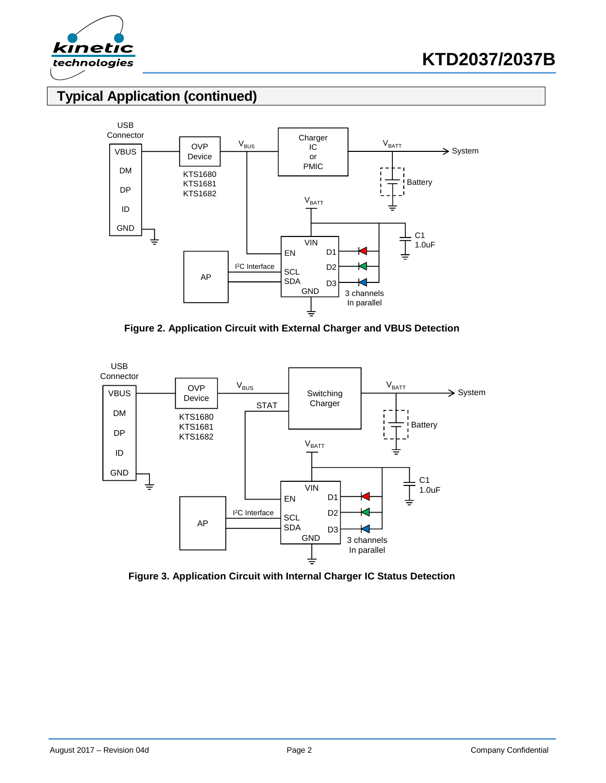

# **Typical Application (continued)**



**Figure 2. Application Circuit with External Charger and VBUS Detection**

<span id="page-1-0"></span>

**Figure 3. Application Circuit with Internal Charger IC Status Detection**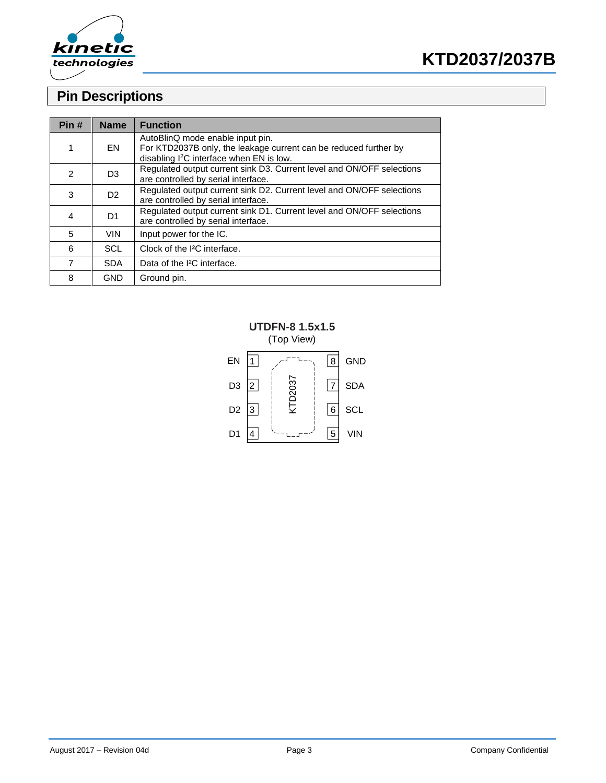



# **Pin Descriptions**

| Pin# | <b>Name</b>    | <b>Function</b>                                                                                                                                              |
|------|----------------|--------------------------------------------------------------------------------------------------------------------------------------------------------------|
| 1    | EN             | AutoBlinQ mode enable input pin.<br>For KTD2037B only, the leakage current can be reduced further by<br>disabling I <sup>2</sup> C interface when EN is low. |
| 2    | D <sub>3</sub> | Regulated output current sink D3. Current level and ON/OFF selections<br>are controlled by serial interface.                                                 |
| 3    | D <sub>2</sub> | Regulated output current sink D2. Current level and ON/OFF selections<br>are controlled by serial interface.                                                 |
| 4    | D <sub>1</sub> | Regulated output current sink D1. Current level and ON/OFF selections<br>are controlled by serial interface.                                                 |
| 5    | <b>VIN</b>     | Input power for the IC.                                                                                                                                      |
| 6    | <b>SCL</b>     | Clock of the I <sup>2</sup> C interface.                                                                                                                     |
| 7    | <b>SDA</b>     | Data of the I <sup>2</sup> C interface.                                                                                                                      |
| 8    | <b>GND</b>     | Ground pin.                                                                                                                                                  |

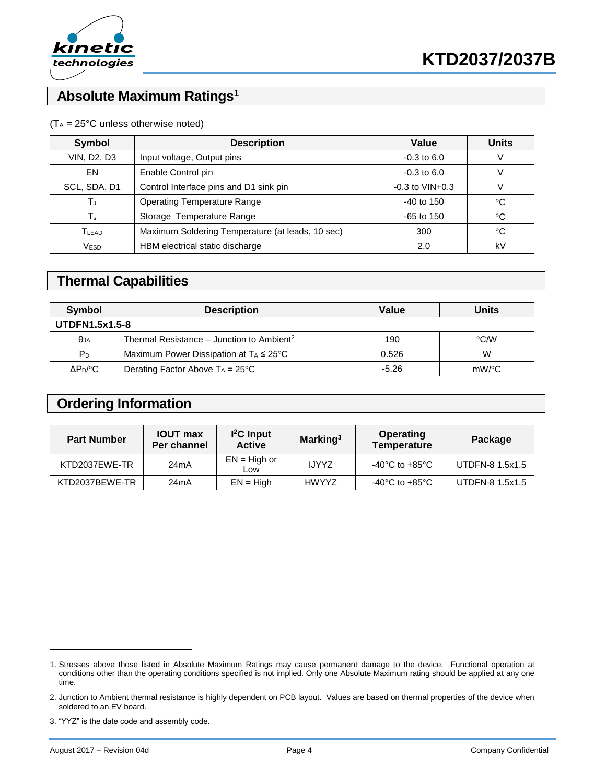

# **Absolute Maximum Ratings<sup>1</sup>**

#### $(T_A = 25^{\circ}C$  unless otherwise noted)

| <b>Symbol</b>      | <b>Description</b>                               | Value                 | <b>Units</b> |
|--------------------|--------------------------------------------------|-----------------------|--------------|
| <b>VIN, D2, D3</b> | Input voltage, Output pins                       | $-0.3$ to 6.0         | V            |
| EN                 | Enable Control pin                               | $-0.3$ to 6.0         |              |
| SCL, SDA, D1       | Control Interface pins and D1 sink pin           | $-0.3$ to $VIN + 0.3$ | v            |
| ТJ                 | <b>Operating Temperature Range</b>               | $-40$ to 150          | °C           |
| Ts                 | Storage Temperature Range                        | $-65$ to 150          | °C           |
| T <sub>LEAD</sub>  | Maximum Soldering Temperature (at leads, 10 sec) | 300                   | °C           |
| VESD               | HBM electrical static discharge                  | 2.0                   | kV           |

# **Thermal Capabilities**

| Symbol                | <b>Description</b>                                    | Value   | <b>Units</b>  |  |  |
|-----------------------|-------------------------------------------------------|---------|---------------|--|--|
| <b>UTDFN1.5x1.5-8</b> |                                                       |         |               |  |  |
| $\theta$ JA           | Thermal Resistance – Junction to Ambient <sup>2</sup> | 190     | $\degree$ C/W |  |  |
| $P_D$                 | Maximum Power Dissipation at $T_A \leq 25^{\circ}C$   | 0.526   | W             |  |  |
| $\Delta P_D$ /°C      | Derating Factor Above $T_A = 25^{\circ}C$             | $-5.26$ | $mW$ /°C      |  |  |

## **Ordering Information**

| <b>Part Number</b> | <b>IOUT max</b><br>Per channel | $l^2C$ Input<br><b>Active</b> | Marking <sup>3</sup> | <b>Operating</b><br><b>Temperature</b> | Package         |
|--------------------|--------------------------------|-------------------------------|----------------------|----------------------------------------|-----------------|
| KTD2037EWE-TR      | 24 <sub>m</sub> A              | $EN = High or$<br>Low         | <b>IJYYZ</b>         | $-40^{\circ}$ C to $+85^{\circ}$ C     | UTDFN-8 1.5x1.5 |
| KTD2037BEWE-TR     | 24mA                           | $EN = High$                   | <b>HWYYZ</b>         | $-40^{\circ}$ C to $+85^{\circ}$ C     | UTDFN-8 1.5x1.5 |

<sup>1.</sup> Stresses above those listed in Absolute Maximum Ratings may cause permanent damage to the device. Functional operation at conditions other than the operating conditions specified is not implied. Only one Absolute Maximum rating should be applied at any one time.

<sup>2.</sup> Junction to Ambient thermal resistance is highly dependent on PCB layout. Values are based on thermal properties of the device when soldered to an EV board.

<sup>3.</sup> "YYZ" is the date code and assembly code.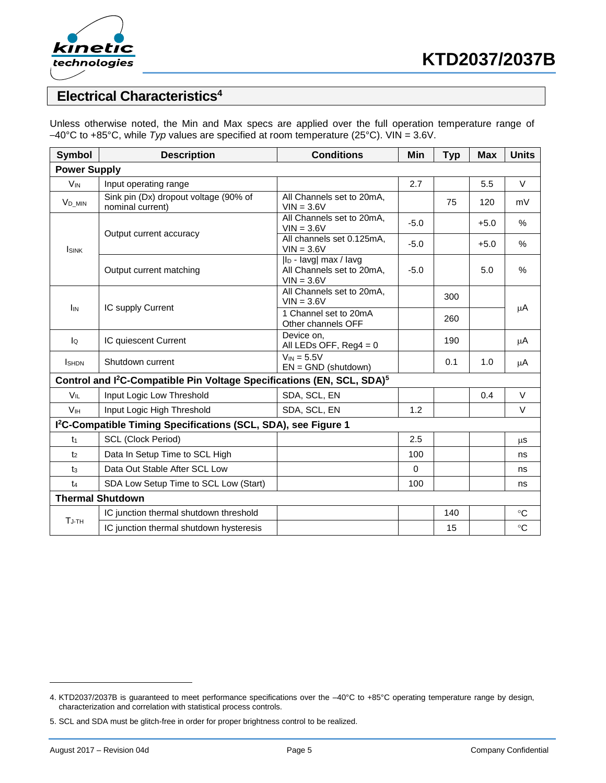

## **Electrical Characteristics<sup>4</sup>**

Unless otherwise noted, the Min and Max specs are applied over the full operation temperature range of –40°C to +85°C, while *Typ* values are specified at room temperature (25°C). VIN = 3.6V.

| Symbol              | <b>Description</b>                                                                             | <b>Conditions</b>                                                              | Min      | <b>Typ</b> | <b>Max</b> | <b>Units</b> |
|---------------------|------------------------------------------------------------------------------------------------|--------------------------------------------------------------------------------|----------|------------|------------|--------------|
| <b>Power Supply</b> |                                                                                                |                                                                                |          |            |            |              |
| $V_{IN}$            | Input operating range                                                                          |                                                                                | 2.7      |            | 5.5        | $\vee$       |
| V <sub>D</sub> MIN  | Sink pin (Dx) dropout voltage (90% of<br>nominal current)                                      | All Channels set to 20mA,<br>$VIN = 3.6V$                                      |          | 75         | 120        | mV           |
|                     | Output current accuracy                                                                        | All Channels set to 20mA,<br>$VIN = 3.6V$                                      | $-5.0$   |            | $+5.0$     | $\%$         |
| <b>I</b> sink       |                                                                                                | All channels set 0.125mA,<br>$VIN = 3.6V$                                      | $-5.0$   |            | $+5.0$     | $\%$         |
|                     | Output current matching                                                                        | l <sub>D</sub> - lavg  max / lavg<br>All Channels set to 20mA,<br>$VIN = 3.6V$ | $-5.0$   |            | 5.0        | $\%$         |
| I <sub>IN</sub>     |                                                                                                | All Channels set to 20mA,<br>$VIN = 3.6V$                                      |          | 300        |            |              |
|                     | IC supply Current                                                                              | 1 Channel set to 20mA<br>Other channels OFF                                    |          | 260        |            | $\mu$ A      |
| $\overline{a}$      | IC quiescent Current                                                                           | Device on.<br>All LEDs OFF, $Reg4 = 0$                                         |          | 190        |            | $\mu$ A      |
| <b>I</b> SHDN       | Shutdown current                                                                               | $V_{IN} = 5.5V$<br>$EN = GND$ (shutdown)                                       |          | 0.1        | 1.0        | μA           |
|                     | Control and I <sup>2</sup> C-Compatible Pin Voltage Specifications (EN, SCL, SDA) <sup>5</sup> |                                                                                |          |            |            |              |
| $V_{IL}$            | Input Logic Low Threshold                                                                      | SDA, SCL, EN                                                                   |          |            | 0.4        | $\vee$       |
| V <sub>IH</sub>     | Input Logic High Threshold                                                                     | SDA, SCL, EN                                                                   | 1.2      |            |            | $\vee$       |
|                     | I <sup>2</sup> C-Compatible Timing Specifications (SCL, SDA), see Figure 1                     |                                                                                |          |            |            |              |
| t1                  | <b>SCL (Clock Period)</b>                                                                      |                                                                                | 2.5      |            |            | μS           |
| t <sub>2</sub>      | Data In Setup Time to SCL High                                                                 |                                                                                | 100      |            |            | ns           |
| $t_3$               | Data Out Stable After SCL Low                                                                  |                                                                                | $\Omega$ |            |            | ns           |
| $t_4$               | SDA Low Setup Time to SCL Low (Start)                                                          |                                                                                | 100      |            |            | ns           |
|                     | <b>Thermal Shutdown</b>                                                                        |                                                                                |          |            |            |              |
| $T_{J-TH}$          | IC junction thermal shutdown threshold                                                         |                                                                                |          | 140        |            | $^{\circ}C$  |
|                     | IC junction thermal shutdown hysteresis                                                        |                                                                                |          | 15         |            | $\circ$ C    |

<sup>4.</sup> KTD2037/2037B is guaranteed to meet performance specifications over the –40°C to +85°C operating temperature range by design, characterization and correlation with statistical process controls.

<sup>5.</sup> SCL and SDA must be glitch-free in order for proper brightness control to be realized.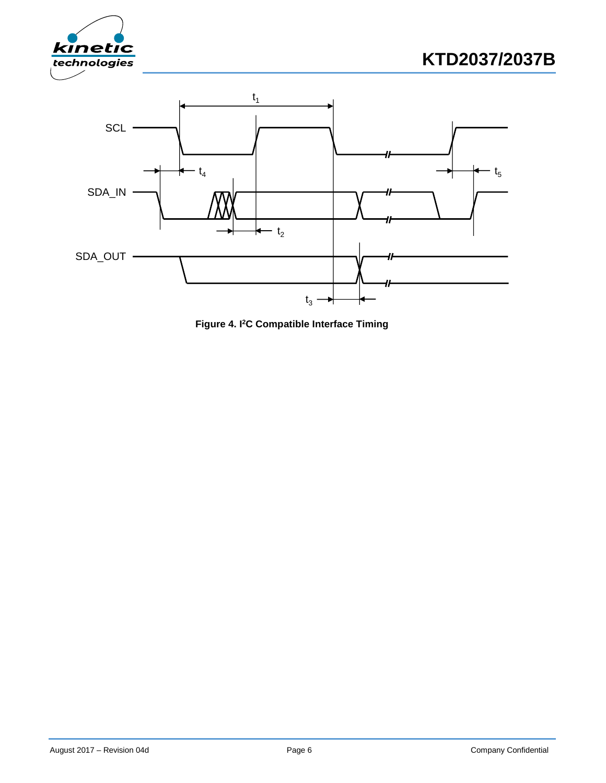





**Figure 4. I <sup>2</sup>C Compatible Interface Timing**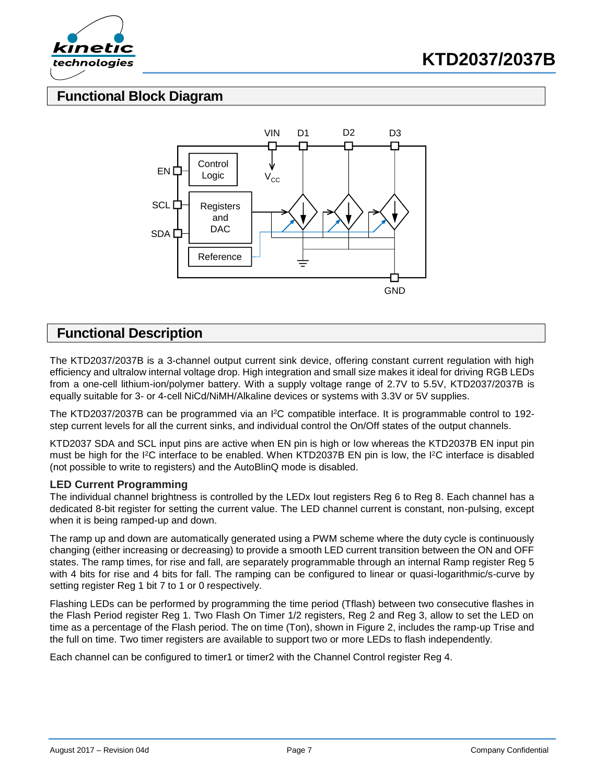



## **Functional Block Diagram**



## **Functional Description**

The KTD2037/2037B is a 3-channel output current sink device, offering constant current regulation with high efficiency and ultralow internal voltage drop. High integration and small size makes it ideal for driving RGB LEDs from a one-cell lithium-ion/polymer battery. With a supply voltage range of 2.7V to 5.5V, KTD2037/2037B is equally suitable for 3- or 4-cell NiCd/NiMH/Alkaline devices or systems with 3.3V or 5V supplies.

The KTD2037/2037B can be programmed via an I<sup>2</sup>C compatible interface. It is programmable control to 192step current levels for all the current sinks, and individual control the On/Off states of the output channels.

KTD2037 SDA and SCL input pins are active when EN pin is high or low whereas the KTD2037B EN input pin must be high for the I<sup>2</sup>C interface to be enabled. When KTD2037B EN pin is low, the I<sup>2</sup>C interface is disabled (not possible to write to registers) and the AutoBlinQ mode is disabled.

#### **LED Current Programming**

The individual channel brightness is controlled by the LEDx Iout registers Reg 6 to Reg 8. Each channel has a dedicated 8-bit register for setting the current value. The LED channel current is constant, non-pulsing, except when it is being ramped-up and down.

The ramp up and down are automatically generated using a PWM scheme where the duty cycle is continuously changing (either increasing or decreasing) to provide a smooth LED current transition between the ON and OFF states. The ramp times, for rise and fall, are separately programmable through an internal Ramp register Reg 5 with 4 bits for rise and 4 bits for fall. The ramping can be configured to linear or quasi-logarithmic/s-curve by setting register Reg 1 bit 7 to 1 or 0 respectively.

Flashing LEDs can be performed by programming the time period (Tflash) between two consecutive flashes in the Flash Period register Reg 1. Two Flash On Timer 1/2 registers, Reg 2 and Reg 3, allow to set the LED on time as a percentage of the Flash period. The on time (Ton), shown in [Figure 2,](#page-1-0) includes the ramp-up Trise and the full on time. Two timer registers are available to support two or more LEDs to flash independently.

Each channel can be configured to timer1 or timer2 with the Channel Control register Reg 4.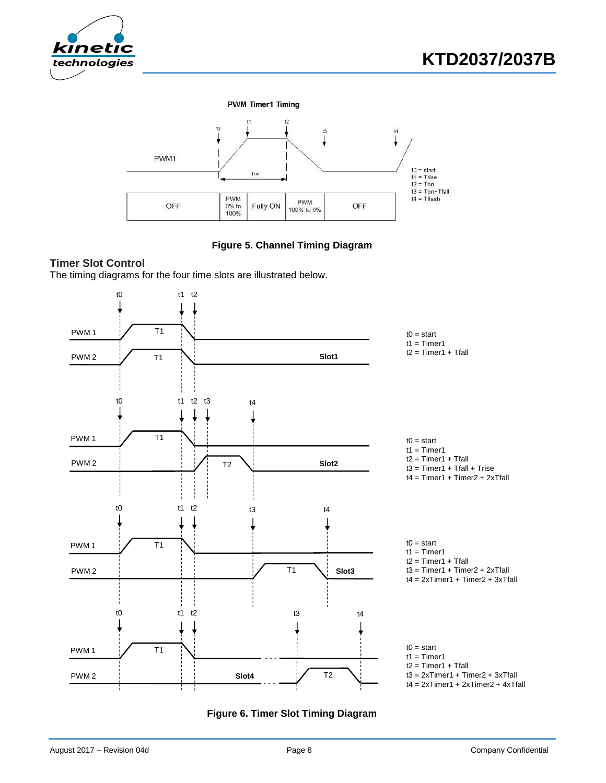





**Figure 5. Channel Timing Diagram**

### <span id="page-7-0"></span>**Timer Slot Control**

The timing diagrams for the four time slots are illustrated below.



**Figure 6. Timer Slot Timing Diagram**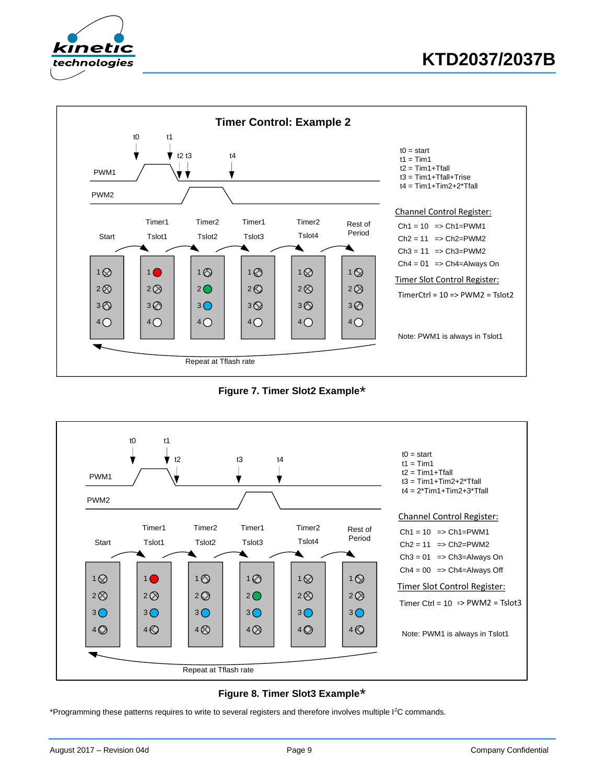

# **KTD2037/2037B**



**Figure 7. Timer Slot2 Example**\*





\*Programming these patterns requires to write to several registers and therefore involves multiple I<sup>2</sup>C commands.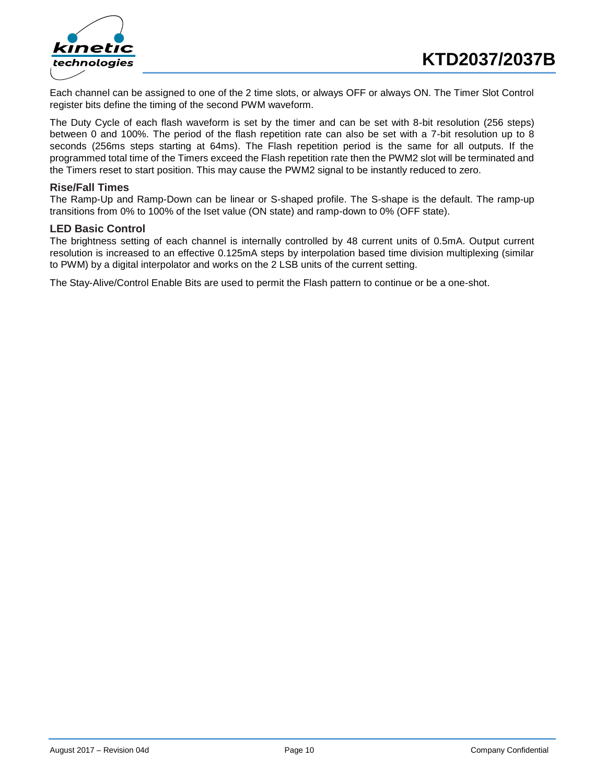



Each channel can be assigned to one of the 2 time slots, or always OFF or always ON. The Timer Slot Control register bits define the timing of the second PWM waveform.

The Duty Cycle of each flash waveform is set by the timer and can be set with 8-bit resolution (256 steps) between 0 and 100%. The period of the flash repetition rate can also be set with a 7-bit resolution up to 8 seconds (256ms steps starting at 64ms). The Flash repetition period is the same for all outputs. If the programmed total time of the Timers exceed the Flash repetition rate then the PWM2 slot will be terminated and the Timers reset to start position. This may cause the PWM2 signal to be instantly reduced to zero.

#### **Rise/Fall Times**

The Ramp-Up and Ramp-Down can be linear or S-shaped profile. The S-shape is the default. The ramp-up transitions from 0% to 100% of the Iset value (ON state) and ramp-down to 0% (OFF state).

#### **LED Basic Control**

The brightness setting of each channel is internally controlled by 48 current units of 0.5mA. Output current resolution is increased to an effective 0.125mA steps by interpolation based time division multiplexing (similar to PWM) by a digital interpolator and works on the 2 LSB units of the current setting.

The Stay-Alive/Control Enable Bits are used to permit the Flash pattern to continue or be a one-shot.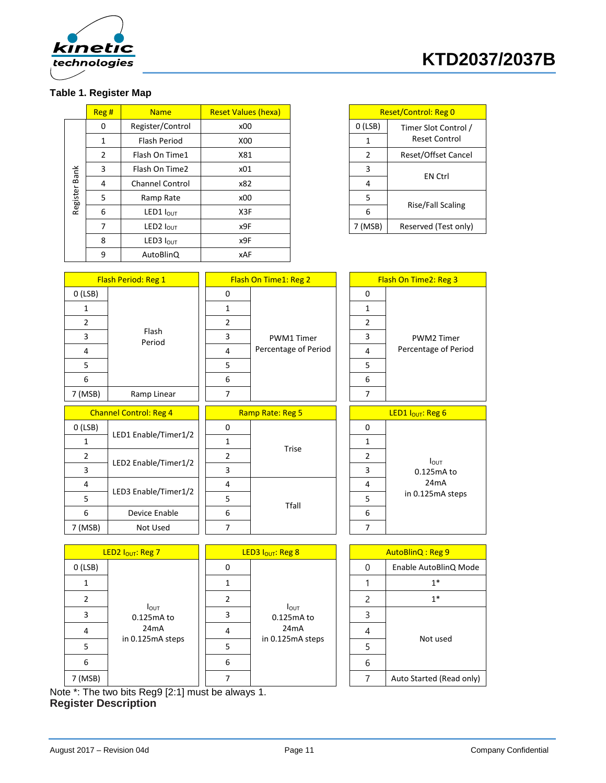

# **KTD2037/2037B**

## **Table 1. Register Map**

|               | Reg # | <b>Name</b>                  | <b>Reset Values (hexa)</b> |           | <b>Reset/Control: Reg 0</b> |
|---------------|-------|------------------------------|----------------------------|-----------|-----------------------------|
|               | 0     | Register/Control             | x00                        | $O$ (LSB) | Timer Slot Control /        |
|               | 1     | <b>Flash Period</b>          | X00                        | 1         | <b>Reset Control</b>        |
|               | 2     | Flash On Time1               | X81                        | 2         | Reset/Offset Cancel         |
|               | 3     | Flash On Time2               | x01                        | 3         |                             |
|               | 4     | <b>Channel Control</b>       | x82                        | 4         | <b>EN Ctrl</b>              |
| Register Bank | 5     | Ramp Rate                    | x00                        | 5         |                             |
|               | 6     | <b>LED1</b> $I_{\text{OUT}}$ | X3F                        | 6         | Rise/Fall Scaling           |
|               | 7     | LED2 $I_{OUT}$               | x9F                        | 7 (MSB)   | Reserved (Test only)        |
|               | 8     | LED3 $IOUT$                  | x9F                        |           |                             |
|               | 9     | AutoBlinQ                    | <b>xAF</b>                 |           |                             |

| <b>Reset/Control: Reg 0</b> |                            |  |  |
|-----------------------------|----------------------------|--|--|
| O(LSB)                      | Timer Slot Control /       |  |  |
|                             | Reset Control              |  |  |
| 2                           | <b>Reset/Offset Cancel</b> |  |  |
| R                           | <b>FN Ctrl</b>             |  |  |
| 4                           |                            |  |  |
| 5                           |                            |  |  |
| 6                           | <b>Rise/Fall Scaling</b>   |  |  |
| 7 (MSB)                     | Reserved (Test only)       |  |  |

|                               | <b>Flash Period: Reg 1</b>    | Flash On Time1: Reg 2 |                               |  | Flash On Time2: Reg 3 |                               |  |
|-------------------------------|-------------------------------|-----------------------|-------------------------------|--|-----------------------|-------------------------------|--|
| O(LSB)                        |                               | 0                     |                               |  | 0                     |                               |  |
| $\mathbf{1}$                  |                               | $\mathbf{1}$          |                               |  | 1                     |                               |  |
| $\overline{2}$                | Flash<br>Period               | $\overline{2}$        |                               |  | $\overline{2}$        |                               |  |
| 3                             |                               | 3                     | <b>PWM1 Timer</b>             |  | 3                     | PWM2 Timer                    |  |
| 4                             |                               | 4                     | Percentage of Period          |  | 4                     | Percentage of Period          |  |
| 5                             |                               | 5                     |                               |  | 5                     |                               |  |
| 6                             |                               | 6                     |                               |  | 6                     |                               |  |
| 7 (MSB)                       | $\overline{7}$<br>Ramp Linear |                       | $\overline{7}$                |  |                       |                               |  |
| <b>Channel Control: Reg 4</b> |                               | Ramp Rate: Reg 5      |                               |  |                       | LED1 I <sub>OUT</sub> : Reg 6 |  |
| O(LSB)                        |                               | 0                     | <b>Trise</b>                  |  | 0                     |                               |  |
| 1                             | LED1 Enable/Timer1/2          | 1                     |                               |  | 1                     |                               |  |
| $\overline{2}$                |                               | $\overline{2}$        |                               |  | 2                     | I <sub>OUT</sub>              |  |
| 3                             | LED2 Enable/Timer1/2          | 3                     |                               |  | 3                     | 0.125mA to                    |  |
| 4                             | LED3 Enable/Timer1/2          | 4                     |                               |  | 4                     | 24mA                          |  |
| 5                             |                               | 5                     | Tfall                         |  | 5                     | in 0.125mA steps              |  |
| 6                             | Device Enable                 | 6                     |                               |  | 6                     |                               |  |
| 7 (MSB)                       | Not Used                      | $\overline{7}$        |                               |  | 7                     |                               |  |
|                               |                               |                       |                               |  |                       |                               |  |
|                               | LED2 I <sub>OUT</sub> : Reg 7 |                       | LED3 I <sub>OUT</sub> : Reg 8 |  |                       | AutoBlinQ: Reg 9              |  |
| O(LSB)                        |                               | 0                     |                               |  | $\mathbf 0$           | Enable AutoBlinQ Mode         |  |

| O(LSB)  |                                                                         | 0 |  | 0                | Enable AutoBlinQ Mode          |   |          |      |
|---------|-------------------------------------------------------------------------|---|--|------------------|--------------------------------|---|----------|------|
|         | $I_{\text{OUT}}$<br>0.125mA to<br>24 <sub>m</sub> A<br>in 0.125mA steps |   |  |                  | $1*$                           |   |          |      |
|         |                                                                         |   |  |                  |                                |   |          | $1*$ |
|         |                                                                         |   |  |                  | $I_{\text{OUT}}$<br>0.125mA to |   |          |      |
|         |                                                                         |   |  |                  | 24mA                           | 4 | Not used |      |
|         |                                                                         |   |  | in 0.125mA steps |                                |   |          |      |
| 6       |                                                                         |   |  |                  | 6                              |   | 6        |      |
| 7 (MSB) |                                                                         |   |  |                  | Auto Started (Read only)       |   |          |      |

Note \*: The two bits Reg9 [2:1] must be always 1. **Register Description**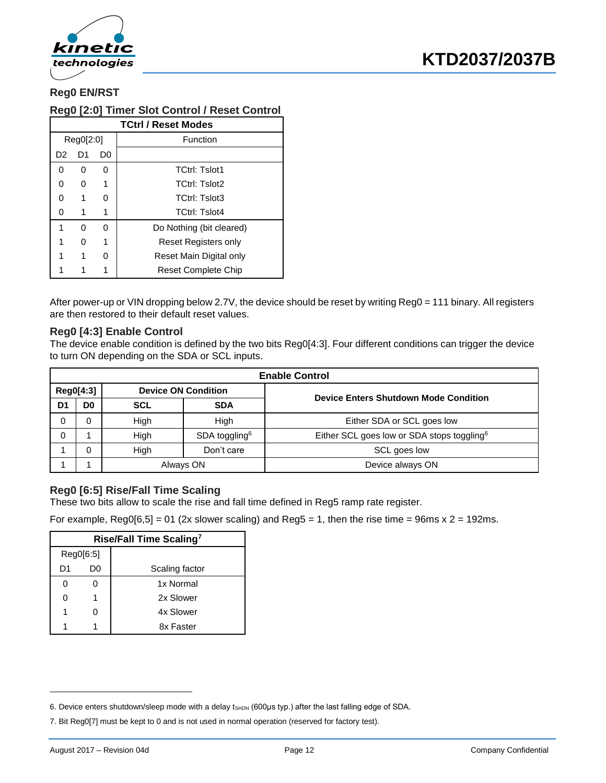

## **Reg0 EN/RST**

#### **Reg0 [2:0] Timer Slot Control / Reset Control**

|          | <b>TCtrl / Reset Modes</b> |    |                            |  |  |  |  |
|----------|----------------------------|----|----------------------------|--|--|--|--|
|          | Reg0[2:0]                  |    | Function                   |  |  |  |  |
| D2       | D1                         | D0 |                            |  |  |  |  |
| $\Omega$ | 0                          | 0  | <b>TCtrl: Tslot1</b>       |  |  |  |  |
| O        | 0                          | 1  | <b>TCtrl: Tslot2</b>       |  |  |  |  |
| ი        | 1                          | U  | <b>TCtrl: Tslot3</b>       |  |  |  |  |
| 0        | 1                          | 1  | <b>TCtrl: Tslot4</b>       |  |  |  |  |
| 1        | O                          | U  | Do Nothing (bit cleared)   |  |  |  |  |
|          | 0                          | 1  | Reset Registers only       |  |  |  |  |
|          | 1                          | U  | Reset Main Digital only    |  |  |  |  |
|          |                            |    | <b>Reset Complete Chip</b> |  |  |  |  |

After power-up or VIN dropping below 2.7V, the device should be reset by writing Reg0 = 111 binary. All registers are then restored to their default reset values.

#### **Reg0 [4:3] Enable Control**

The device enable condition is defined by the two bits Reg0[4:3]. Four different conditions can trigger the device to turn ON depending on the SDA or SCL inputs.

|    | <b>Enable Control</b> |                            |                           |                                                        |  |  |
|----|-----------------------|----------------------------|---------------------------|--------------------------------------------------------|--|--|
|    | Reg0[4:3]             | <b>Device ON Condition</b> |                           | <b>Device Enters Shutdown Mode Condition</b>           |  |  |
| D1 | D0                    | <b>SCL</b>                 | <b>SDA</b>                |                                                        |  |  |
| 0  |                       | High                       | High                      | Either SDA or SCL goes low                             |  |  |
| 0  |                       | High                       | SDA toggling <sup>6</sup> | Either SCL goes low or SDA stops toggling <sup>6</sup> |  |  |
|    |                       | High                       | Don't care                | SCL goes low                                           |  |  |
|    |                       | Always ON                  |                           | Device always ON                                       |  |  |

#### <span id="page-11-0"></span>**Reg0 [6:5] Rise/Fall Time Scaling**

These two bits allow to scale the rise and fall time defined in Reg5 ramp rate register.

For example,  $RegO[6,5] = 01$  (2x slower scaling) and  $Reg5 = 1$ , then the rise time = 96ms x 2 = 192ms.

|           | Rise/Fall Time Scaling <sup>7</sup> |                |  |  |  |  |
|-----------|-------------------------------------|----------------|--|--|--|--|
| Reg0[6:5] |                                     |                |  |  |  |  |
| D1        | D0                                  | Scaling factor |  |  |  |  |
| 0         |                                     | 1x Normal      |  |  |  |  |
| 0         |                                     | 2x Slower      |  |  |  |  |
| 1         | ი                                   | 4x Slower      |  |  |  |  |
|           |                                     | 8x Faster      |  |  |  |  |

<sup>6.</sup> Device enters shutdown/sleep mode with a delay t<sub>SHDN</sub> (600μs typ.) after the last falling edge of SDA.

<sup>7.</sup> Bit Reg0[7] must be kept to 0 and is not used in normal operation (reserved for factory test).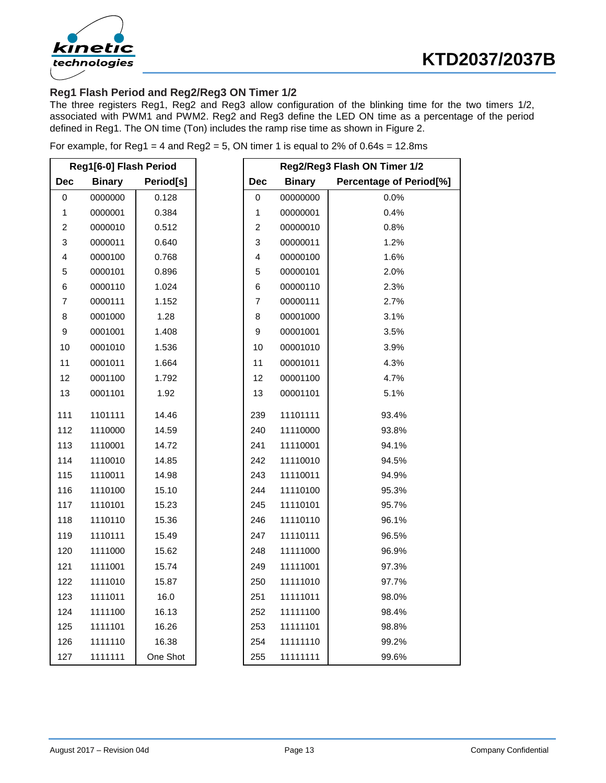



## **Reg1 Flash Period and Reg2/Reg3 ON Timer 1/2**

The three registers Reg1, Reg2 and Reg3 allow configuration of the blinking time for the two timers 1/2, associated with PWM1 and PWM2. Reg2 and Reg3 define the LED ON time as a percentage of the period defined in Reg1. The ON time (Ton) includes the ramp rise time as shown in [Figure 2.](#page-1-0)

|  |  | For example, for Reg1 = 4 and Reg2 = 5, ON timer 1 is equal to $2\%$ of 0.64s = 12.8ms |  |
|--|--|----------------------------------------------------------------------------------------|--|
|  |  |                                                                                        |  |

| Reg1[6-0] Flash Period  |               |           | Reg2/Reg3 Flash ON Timer 1/2 |               |                                |
|-------------------------|---------------|-----------|------------------------------|---------------|--------------------------------|
| <b>Dec</b>              | <b>Binary</b> | Period[s] | <b>Dec</b>                   | <b>Binary</b> | <b>Percentage of Period[%]</b> |
| $\mathbf 0$             | 0000000       | 0.128     | $\mathbf 0$                  | 00000000      | 0.0%                           |
| 1                       | 0000001       | 0.384     | 1                            | 00000001      | 0.4%                           |
| $\overline{\mathbf{c}}$ | 0000010       | 0.512     | $\boldsymbol{2}$             | 00000010      | 0.8%                           |
| 3                       | 0000011       | 0.640     | 3                            | 00000011      | 1.2%                           |
| 4                       | 0000100       | 0.768     | 4                            | 00000100      | 1.6%                           |
| 5                       | 0000101       | 0.896     | 5                            | 00000101      | 2.0%                           |
| 6                       | 0000110       | 1.024     | 6                            | 00000110      | 2.3%                           |
| $\overline{\mathbf{7}}$ | 0000111       | 1.152     | $\overline{\mathcal{I}}$     | 00000111      | 2.7%                           |
| 8                       | 0001000       | 1.28      | $\bf8$                       | 00001000      | 3.1%                           |
| $\mathsf g$             | 0001001       | 1.408     | 9                            | 00001001      | 3.5%                           |
| 10                      | 0001010       | 1.536     | 10                           | 00001010      | 3.9%                           |
| 11                      | 0001011       | 1.664     | 11                           | 00001011      | 4.3%                           |
| 12                      | 0001100       | 1.792     | 12                           | 00001100      | 4.7%                           |
| 13                      | 0001101       | 1.92      | 13                           | 00001101      | 5.1%                           |
| 111                     | 1101111       | 14.46     | 239                          | 11101111      | 93.4%                          |
| 112                     | 1110000       | 14.59     | 240                          | 11110000      | 93.8%                          |
| 113                     | 1110001       | 14.72     | 241                          | 11110001      | 94.1%                          |
| 114                     | 1110010       | 14.85     | 242                          | 11110010      | 94.5%                          |
| 115                     | 1110011       | 14.98     | 243                          | 11110011      | 94.9%                          |
| 116                     | 1110100       | 15.10     | 244                          | 11110100      | 95.3%                          |
| 117                     | 1110101       | 15.23     | 245                          | 11110101      | 95.7%                          |
| 118                     | 1110110       | 15.36     | 246                          | 11110110      | 96.1%                          |
| 119                     | 1110111       | 15.49     | 247                          | 11110111      | 96.5%                          |
| 120                     | 1111000       | 15.62     | 248                          | 11111000      | 96.9%                          |
| 121                     | 1111001       | 15.74     | 249                          | 11111001      | 97.3%                          |
| 122                     | 1111010       | 15.87     | 250                          | 11111010      | 97.7%                          |
| 123                     | 1111011       | 16.0      | 251                          | 11111011      | 98.0%                          |
| 124                     | 1111100       | 16.13     | 252                          | 11111100      | 98.4%                          |
| 125                     | 1111101       | 16.26     | 253                          | 11111101      | 98.8%                          |
| 126                     | 1111110       | 16.38     | 254                          | 11111110      | 99.2%                          |
| 127                     | 1111111       | One Shot  | 255                          | 11111111      | 99.6%                          |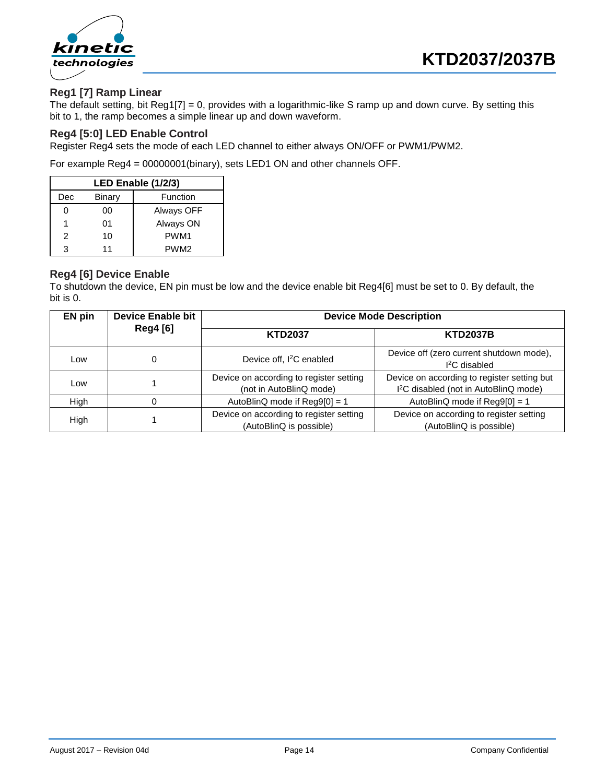

### **Reg1 [7] Ramp Linear**

The default setting, bit Reg1[7] = 0, provides with a logarithmic-like S ramp up and down curve. By setting this bit to 1, the ramp becomes a simple linear up and down waveform.

#### **Reg4 [5:0] LED Enable Control**

Register Reg4 sets the mode of each LED channel to either always ON/OFF or PWM1/PWM2.

For example Reg4 = 00000001(binary), sets LED1 ON and other channels OFF.

| LED Enable (1/2/3) |        |                  |  |  |
|--------------------|--------|------------------|--|--|
| Dec                | Binary | Function         |  |  |
|                    | 00     | Always OFF       |  |  |
| 1                  | 01     | Always ON        |  |  |
| 2                  | 10     | PWM <sub>1</sub> |  |  |
| з                  | 11     | PWM <sub>2</sub> |  |  |

#### **Reg4 [6] Device Enable**

To shutdown the device, EN pin must be low and the device enable bit Reg4[6] must be set to 0. By default, the bit is 0.

| <b>Device Enable bit</b><br>EN pin |                                   | <b>Device Mode Description</b>                                     |                                                                                                  |  |  |  |
|------------------------------------|-----------------------------------|--------------------------------------------------------------------|--------------------------------------------------------------------------------------------------|--|--|--|
|                                    | <b>Reg4</b> [6]<br><b>KTD2037</b> |                                                                    | <b>KTD2037B</b>                                                                                  |  |  |  |
| Low                                |                                   | Device off, I <sup>2</sup> C enabled                               | Device off (zero current shutdown mode),<br>$I2C$ disabled                                       |  |  |  |
| Low                                |                                   | Device on according to register setting<br>(not in AutoBlinQ mode) | Device on according to register setting but<br>I <sup>2</sup> C disabled (not in AutoBlinQ mode) |  |  |  |
| High                               |                                   | AutoBlinQ mode if Reg9[0] = 1                                      | AutoBlinQ mode if Reg9[0] = 1                                                                    |  |  |  |
| High                               |                                   | Device on according to register setting<br>(AutoBlinQ is possible) | Device on according to register setting<br>(AutoBlinQ is possible)                               |  |  |  |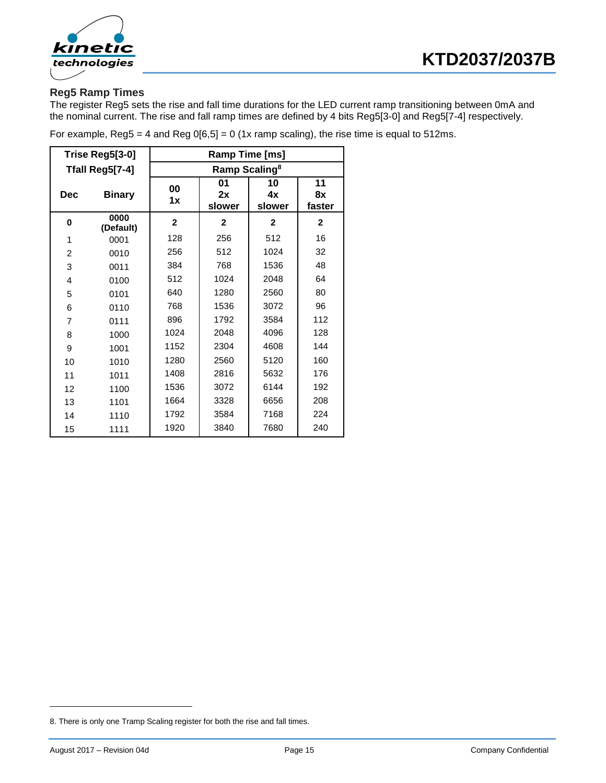



## **Reg5 Ramp Times**

The register Reg5 sets the rise and fall time durations for the LED current ramp transitioning between 0mA and the nominal current. The rise and fall ramp times are defined by 4 bits Reg5[3-0] and Reg5[7-4] respectively.

| Trise Reg5[3-0] |                   | Ramp Time [ms]            |                    |                    |                    |  |  |
|-----------------|-------------------|---------------------------|--------------------|--------------------|--------------------|--|--|
|                 | Tfall Reg5[7-4]   | Ramp Scaling <sup>8</sup> |                    |                    |                    |  |  |
| <b>Dec</b>      | <b>Binary</b>     | 00<br>1x                  | 01<br>2x<br>slower | 10<br>4x<br>slower | 11<br>8x<br>faster |  |  |
| 0               | 0000<br>(Default) | $\mathbf{2}$              | $\mathbf{2}$       | $\mathbf{2}$       | $\mathbf{2}$       |  |  |
| 1               | 0001              | 128                       | 256                | 512                | 16                 |  |  |
| $\overline{2}$  | 0010              | 256                       | 512                | 1024               | 32                 |  |  |
| 3               | 0011              | 384                       | 768                | 1536               | 48                 |  |  |
| 4               | 0100              | 512                       | 1024               | 2048               | 64                 |  |  |
| 5               | 0101              | 640                       | 1280               | 2560               | 80                 |  |  |
| 6               | 0110              | 768                       | 1536               | 3072               | 96                 |  |  |
| 7               | 0111              | 896                       | 1792               | 3584               | 112                |  |  |
| 8               | 1000              | 1024                      | 2048               | 4096               | 128                |  |  |
| 9               | 1001              | 1152                      | 2304               | 4608               | 144                |  |  |
| 10              | 1010              | 1280                      | 2560               | 5120               | 160                |  |  |
| 11              | 1011              | 1408                      | 2816               | 5632               | 176                |  |  |
| 12              | 1100              | 1536                      | 3072               | 6144               | 192                |  |  |
| 13              | 1101              | 1664                      | 3328               | 6656               | 208                |  |  |
| 14              | 1110              | 1792                      | 3584               | 7168               | 224                |  |  |
| 15              | 1111              | 1920                      | 3840               | 7680               | 240                |  |  |

For example, Reg5 = 4 and Reg  $0[6,5] = 0$  (1x ramp scaling), the rise time is equal to 512ms.

<sup>8.</sup> There is only one Tramp Scaling register for both the rise and fall times.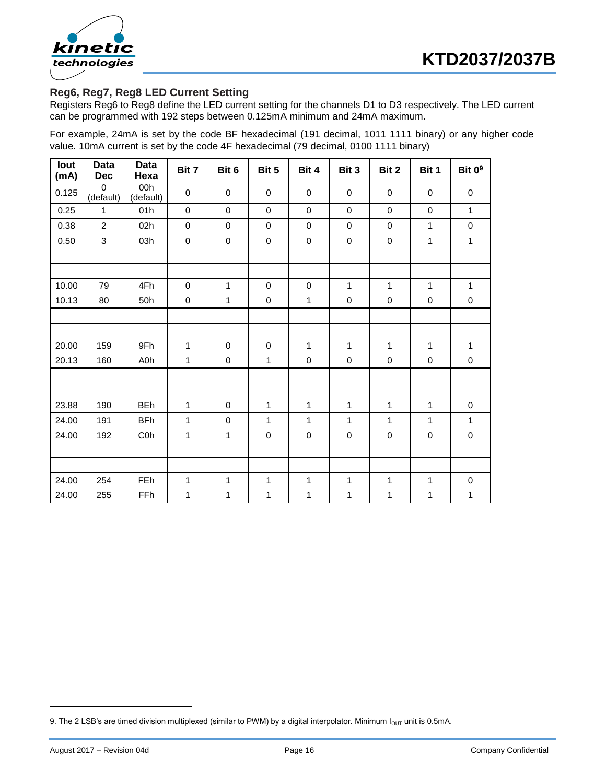

## **Reg6, Reg7, Reg8 LED Current Setting**

Registers Reg6 to Reg8 define the LED current setting for the channels D1 to D3 respectively. The LED current can be programmed with 192 steps between 0.125mA minimum and 24mA maximum.

For example, 24mA is set by the code BF hexadecimal (191 decimal, 1011 1111 binary) or any higher code value. 10mA current is set by the code 4F hexadecimal (79 decimal, 0100 1111 binary)

| lout<br>(mA) | Data<br><b>Dec</b>    | Data<br>Hexa     | Bit 7        | Bit 6        | Bit 5       | Bit 4        | Bit 3            | Bit 2        | Bit 1            | Bit 0 <sup>9</sup> |
|--------------|-----------------------|------------------|--------------|--------------|-------------|--------------|------------------|--------------|------------------|--------------------|
| 0.125        | $\Omega$<br>(default) | 00h<br>(default) | $\mathbf 0$  | $\mathbf 0$  | $\mathbf 0$ | 0            | $\mathbf 0$      | 0            | $\pmb{0}$        | 0                  |
| 0.25         | $\mathbf{1}$          | 01h              | $\mathbf 0$  | 0            | $\mathbf 0$ | 0            | $\mathbf 0$      | $\mathbf 0$  | 0                | $\mathbf{1}$       |
| 0.38         | $\overline{2}$        | 02h              | $\pmb{0}$    | $\pmb{0}$    | 0           | 0            | $\mathbf 0$      | 0            | 1                | $\pmb{0}$          |
| 0.50         | 3                     | 03h              | $\pmb{0}$    | $\mathbf 0$  | $\pmb{0}$   | $\pmb{0}$    | $\boldsymbol{0}$ | $\pmb{0}$    | 1                | $\mathbf{1}$       |
|              |                       |                  |              |              |             |              |                  |              |                  |                    |
|              |                       |                  |              |              |             |              |                  |              |                  |                    |
| 10.00        | 79                    | 4Fh              | $\pmb{0}$    | $\mathbf{1}$ | $\pmb{0}$   | 0            | $\mathbf{1}$     | $\mathbf{1}$ | 1                | $\mathbf{1}$       |
| 10.13        | 80                    | 50h              | $\pmb{0}$    | $\mathbf{1}$ | $\mathbf 0$ | 1            | $\mathbf 0$      | $\pmb{0}$    | $\boldsymbol{0}$ | $\mathbf 0$        |
|              |                       |                  |              |              |             |              |                  |              |                  |                    |
|              |                       |                  |              |              |             |              |                  |              |                  |                    |
| 20.00        | 159                   | 9Fh              | $\mathbf{1}$ | $\pmb{0}$    | $\mathbf 0$ | $\mathbf{1}$ | $\mathbf{1}$     | $\mathbf{1}$ | 1                | $\mathbf{1}$       |
| 20.13        | 160                   | A0h              | $\mathbf 1$  | $\pmb{0}$    | 1           | $\mathbf 0$  | $\pmb{0}$        | $\pmb{0}$    | $\pmb{0}$        | $\pmb{0}$          |
|              |                       |                  |              |              |             |              |                  |              |                  |                    |
|              |                       |                  |              |              |             |              |                  |              |                  |                    |
| 23.88        | 190                   | <b>BEh</b>       | 1            | $\pmb{0}$    | 1           | 1            | 1                | 1            | 1                | $\pmb{0}$          |
| 24.00        | 191                   | <b>BFh</b>       | $\mathbf{1}$ | $\pmb{0}$    | 1           | 1            | $\mathbf{1}$     | 1            | 1                | $\mathbf{1}$       |
| 24.00        | 192                   | C <sub>0</sub> h | 1            | $\mathbf{1}$ | $\mathbf 0$ | $\pmb{0}$    | $\mathbf 0$      | 0            | $\pmb{0}$        | $\mathbf 0$        |
|              |                       |                  |              |              |             |              |                  |              |                  |                    |
|              |                       |                  |              |              |             |              |                  |              |                  |                    |
| 24.00        | 254                   | FEh              | 1            | $\mathbf 1$  | 1           | 1            | $\mathbf{1}$     | 1            | 1                | $\pmb{0}$          |
| 24.00        | 255                   | FFh              | $\mathbf 1$  | $\mathbf 1$  | 1           | 1            | $\mathbf{1}$     | 1            | 1                | $\mathbf{1}$       |

<sup>9.</sup> The 2 LSB's are timed division multiplexed (similar to PWM) by a digital interpolator. Minimum  $I_{\text{OUT}}$  unit is 0.5mA.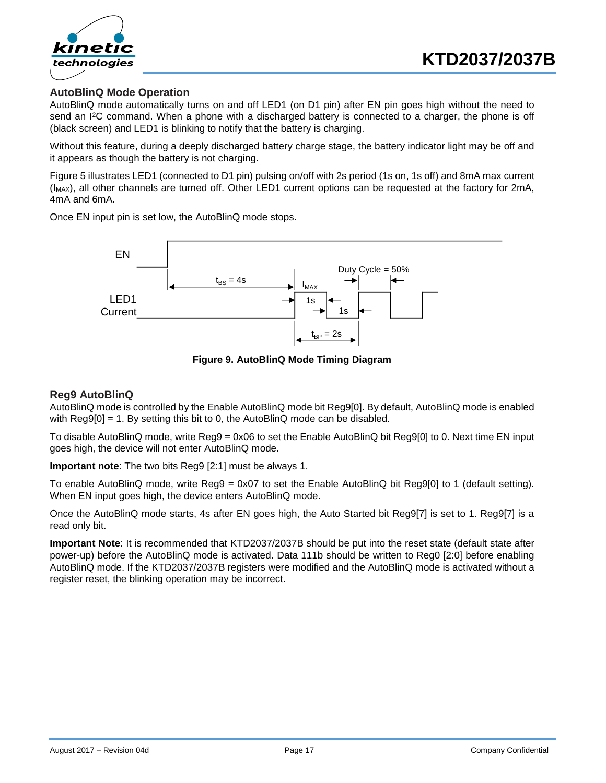

### **AutoBlinQ Mode Operation**

AutoBlinQ mode automatically turns on and off LED1 (on D1 pin) after EN pin goes high without the need to send an I<sup>2</sup>C command. When a phone with a discharged battery is connected to a charger, the phone is off (black screen) and LED1 is blinking to notify that the battery is charging.

Without this feature, during a deeply discharged battery charge stage, the battery indicator light may be off and it appears as though the battery is not charging.

[Figure 5](#page-7-0) illustrates LED1 (connected to D1 pin) pulsing on/off with 2s period (1s on, 1s off) and 8mA max current (IMAX), all other channels are turned off. Other LED1 current options can be requested at the factory for 2mA, 4mA and 6mA.

Once EN input pin is set low, the AutoBlinQ mode stops.



**Figure 9. AutoBlinQ Mode Timing Diagram**

#### **Reg9 AutoBlinQ**

AutoBlinQ mode is controlled by the Enable AutoBlinQ mode bit Reg9[0]. By default, AutoBlinQ mode is enabled with Reg9[0] = 1. By setting this bit to 0, the AutoBlinQ mode can be disabled.

To disable AutoBlinQ mode, write Reg9 = 0x06 to set the Enable AutoBlinQ bit Reg9[0] to 0. Next time EN input goes high, the device will not enter AutoBlinQ mode.

**Important note**: The two bits Reg9 [2:1] must be always 1.

To enable AutoBlinQ mode, write Reg9 = 0x07 to set the Enable AutoBlinQ bit Reg9[0] to 1 (default setting). When EN input goes high, the device enters AutoBlinQ mode.

Once the AutoBlinQ mode starts, 4s after EN goes high, the Auto Started bit Reg9[7] is set to 1. Reg9[7] is a read only bit.

**Important Note**: It is recommended that KTD2037/2037B should be put into the reset state (default state after power-up) before the AutoBlinQ mode is activated. Data 111b should be written to Reg0 [2:0] before enabling AutoBlinQ mode. If the KTD2037/2037B registers were modified and the AutoBlinQ mode is activated without a register reset, the blinking operation may be incorrect.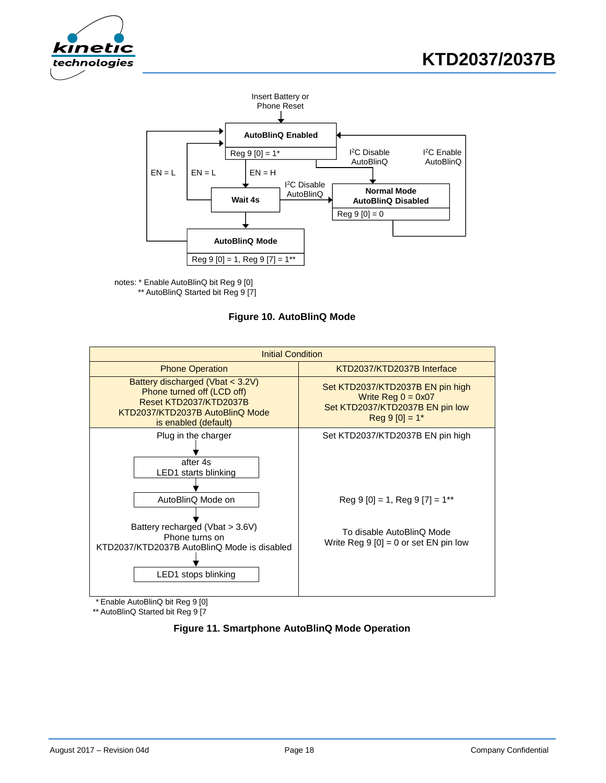



notes: \* Enable AutoBlinQ bit Reg 9 [0] \*\* AutoBlinQ Started bit Reg 9 [7]

**Figure 10. AutoBlinQ Mode**



\*\* AutoBlinQ Started bit Reg 9 [7

**Figure 11. Smartphone AutoBlinQ Mode Operation**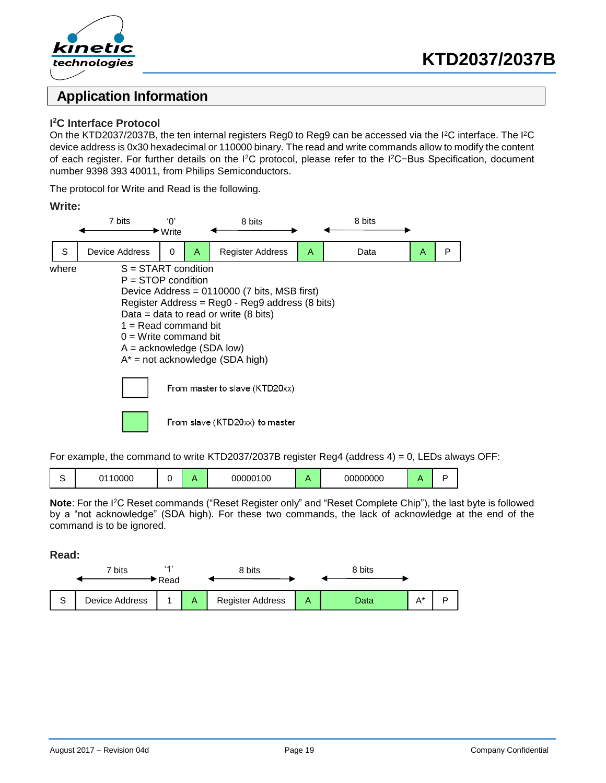



## **Application Information**

#### **I <sup>2</sup>C Interface Protocol**

On the KTD2037/2037B, the ten internal registers Reg0 to Reg9 can be accessed via the I<sup>2</sup>C interface. The I<sup>2</sup>C device address is 0x30 hexadecimal or 110000 binary. The read and write commands allow to modify the content of each register. For further details on the I<sup>2</sup>C protocol, please refer to the I<sup>2</sup>C−Bus Specification, document number 9398 393 40011, from Philips Semiconductors.

The protocol for Write and Read is the following.

#### **Write:**



For example, the command to write KTD2037/2037B register Reg4 (address  $4$ ) = 0, LEDs always OFF:

|  | 0000 |  |  | 100<br>000001 |  | 00000000 |  |  |
|--|------|--|--|---------------|--|----------|--|--|
|--|------|--|--|---------------|--|----------|--|--|

**Note**: For the I<sup>2</sup>C Reset commands ("Reset Register only" and "Reset Complete Chip"), the last byte is followed by a "not acknowledge" (SDA high). For these two commands, the lack of acknowledge at the end of the command is to be ignored.

**Read:**

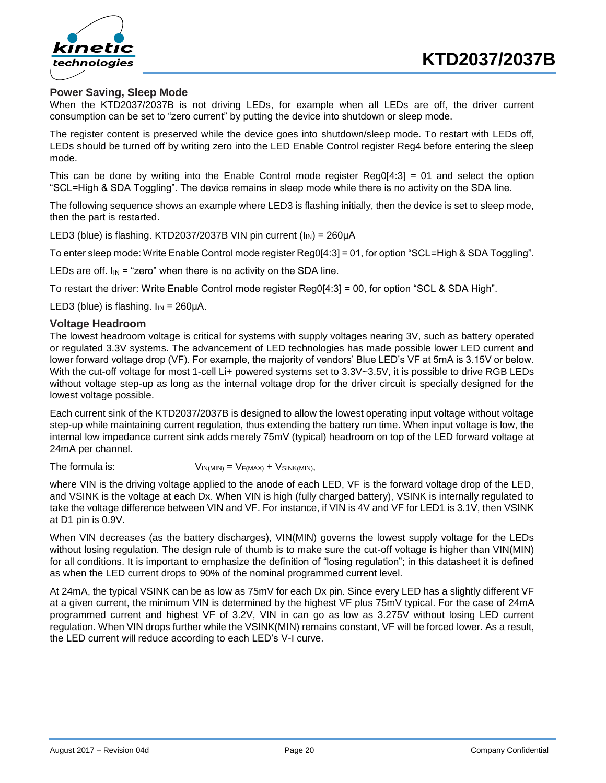

#### **Power Saving, Sleep Mode**

When the KTD2037/2037B is not driving LEDs, for example when all LEDs are off, the driver current consumption can be set to "zero current" by putting the device into shutdown or sleep mode.

The register content is preserved while the device goes into shutdown/sleep mode. To restart with LEDs off, LEDs should be turned off by writing zero into the LED Enable Control register Reg4 before entering the sleep mode.

This can be done by writing into the Enable Control mode register Reg0[4:3] = 01 and select the option "SCL=High & SDA Toggling". The device remains in sleep mode while there is no activity on the SDA line.

The following sequence shows an example where LED3 is flashing initially, then the device is set to sleep mode, then the part is restarted.

LED3 (blue) is flashing. KTD2037/2037B VIN pin current  $(I_{IN}) = 260\mu A$ 

To enter sleep mode: Write Enable Control mode register Reg0[4:3] = 01, for option "SCL=High & SDA Toggling".

LEDs are off.  $I_{IN}$  = "zero" when there is no activity on the SDA line.

To restart the driver: Write Enable Control mode register Reg0[4:3] = 00, for option "SCL & SDA High".

LED3 (blue) is flashing.  $I_{IN} = 260 \mu A$ .

#### **Voltage Headroom**

The lowest headroom voltage is critical for systems with supply voltages nearing 3V, such as battery operated or regulated 3.3V systems. The advancement of LED technologies has made possible lower LED current and lower forward voltage drop (VF). For example, the majority of vendors' Blue LED's VF at 5mA is 3.15V or below. With the cut-off voltage for most 1-cell Li+ powered systems set to 3.3V~3.5V, it is possible to drive RGB LEDs without voltage step-up as long as the internal voltage drop for the driver circuit is specially designed for the lowest voltage possible.

Each current sink of the KTD2037/2037B is designed to allow the lowest operating input voltage without voltage step-up while maintaining current regulation, thus extending the battery run time. When input voltage is low, the internal low impedance current sink adds merely 75mV (typical) headroom on top of the LED forward voltage at 24mA per channel.

The formula is:  $V_{IN(MIN)} = V_{F(MAX)} + V_{SINK(MIN)},$ 

where VIN is the driving voltage applied to the anode of each LED, VF is the forward voltage drop of the LED, and VSINK is the voltage at each Dx. When VIN is high (fully charged battery), VSINK is internally regulated to take the voltage difference between VIN and VF. For instance, if VIN is 4V and VF for LED1 is 3.1V, then VSINK at D1 pin is 0.9V.

When VIN decreases (as the battery discharges), VIN(MIN) governs the lowest supply voltage for the LEDs without losing regulation. The design rule of thumb is to make sure the cut-off voltage is higher than VIN(MIN) for all conditions. It is important to emphasize the definition of "losing regulation"; in this datasheet it is defined as when the LED current drops to 90% of the nominal programmed current level.

At 24mA, the typical VSINK can be as low as 75mV for each Dx pin. Since every LED has a slightly different VF at a given current, the minimum VIN is determined by the highest VF plus 75mV typical. For the case of 24mA programmed current and highest VF of 3.2V, VIN in can go as low as 3.275V without losing LED current regulation. When VIN drops further while the VSINK(MIN) remains constant, VF will be forced lower. As a result, the LED current will reduce according to each LED's V-I curve.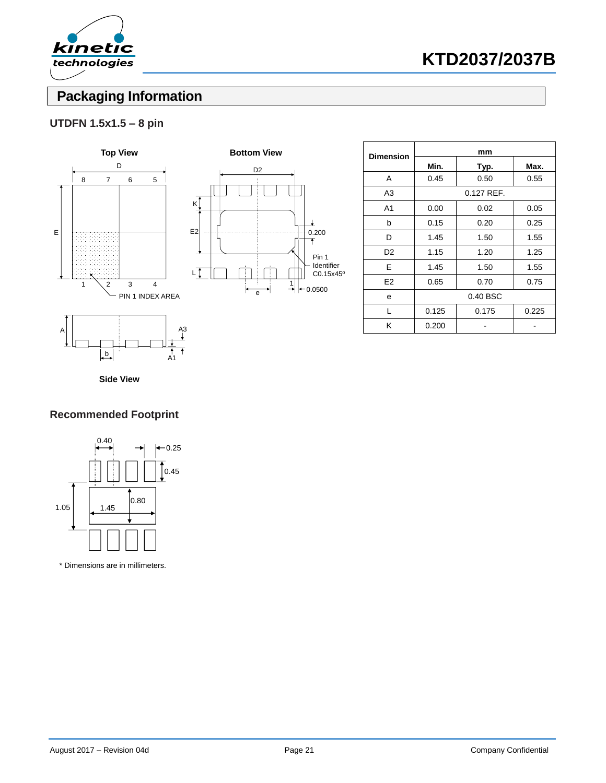

# **Packaging Information**

## **UTDFN 1.5x1.5 – 8 pin**





| <b>Dimension</b> | mm       |              |       |  |  |  |
|------------------|----------|--------------|-------|--|--|--|
|                  | Min.     | Typ.         | Max.  |  |  |  |
| A                | 0.45     | 0.50         | 0.55  |  |  |  |
| A3               |          | $0.127$ REF. |       |  |  |  |
| A <sub>1</sub>   | 0.00     | 0.02         | 0.05  |  |  |  |
| b                | 0.15     | 0.20         | 0.25  |  |  |  |
| D                | 1.45     | 1.50         | 1.55  |  |  |  |
| D <sub>2</sub>   | 1.15     | 1.20         | 1.25  |  |  |  |
| E                | 1.45     | 1.50         | 1.55  |  |  |  |
| E <sub>2</sub>   | 0.65     | 0.70         | 0.75  |  |  |  |
| е                | 0.40 BSC |              |       |  |  |  |
| L                | 0.125    | 0.175        | 0.225 |  |  |  |
| Κ                | 0.200    |              |       |  |  |  |

**Side View**

b

A1

## **Recommended Footprint**



\* Dimensions are in millimeters.